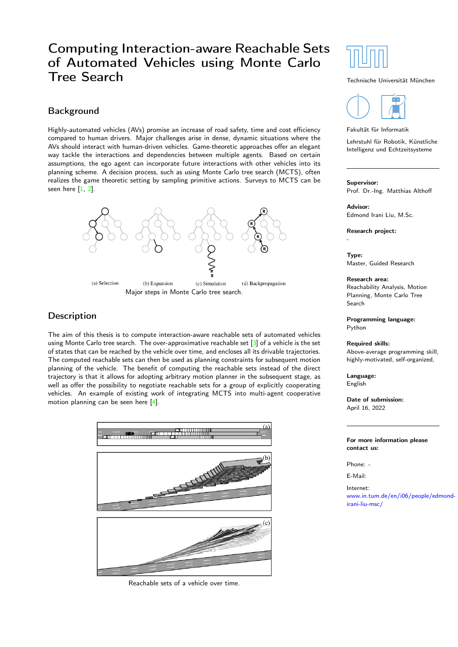## Computing Interaction-aware Reachable Sets of Automated Vehicles using Monte Carlo Tree Search

## Background

Highly-automated vehicles (AVs) promise an increase of road safety, time and cost efficiency compared to human drivers. Major challenges arise in dense, dynamic situations where the AVs should interact with human-driven vehicles. Game-theoretic approaches offer an elegant way tackle the interactions and dependencies between multiple agents. Based on certain assumptions, the ego agent can incorporate future interactions with other vehicles into its planning scheme. A decision process, such as using Monte Carlo tree search (MCTS), often realizes the game theoretic setting by sampling primitive actions. Surveys to MCTS can be seen here  $[1, 2]$  $[1, 2]$  $[1, 2]$ .



## **Description**

The aim of this thesis is to compute interaction-aware reachable sets of automated vehicles using Monte Carlo tree search. The over-approximative reachable set [\[3\]](#page-1-2) of a vehicle is the set of states that can be reached by the vehicle over time, and encloses all its drivable trajectories. The computed reachable sets can then be used as planning constraints for subsequent motion planning of the vehicle. The benefit of computing the reachable sets instead of the direct trajectory is that it allows for adopting arbitrary motion planner in the subsequent stage, as well as offer the possibility to negotiate reachable sets for a group of explicitly cooperating vehicles. An example of existing work of integrating MCTS into multi-agent cooperative motion planning can be seen here [\[4\]](#page-1-3).



Reachable sets of a vehicle over time.



#### Technische Universität München



#### Fakultät für Informatik

Lehrstuhl für Robotik, Künstliche Intelligenz und Echtzeitsysteme

### Supervisor:

Prof. Dr.-Ing. Matthias Althoff

## Advisor:

Edmond Irani Liu, M.Sc.

Research project:

-

Type: Master, Guided Research

#### Research area:

Reachability Analysis, Motion Planning, Monte Carlo Tree Search

Programming language: Python

#### Required skills:

Above-average programming skill, highly-motivated, self-organized,

Language: English

Date of submission: April 16, 2022

For more information please contact us:

Phone: -

E-Mail:

Internet: [www.in.tum.de/en/i06/people/edm](http://www.in.tum.de/en/i06/people/edmond-irani-liu-msc//)ond[irani-liu-msc/](http://www.in.tum.de/en/i06/people/edmond-irani-liu-msc//)